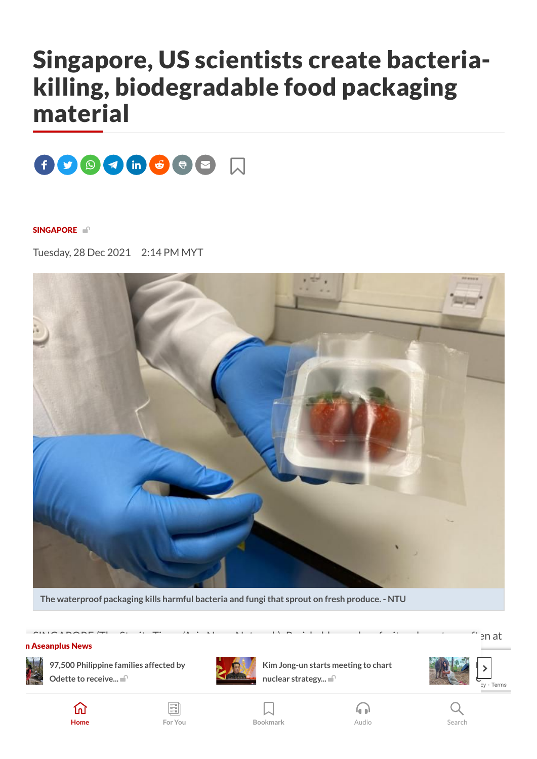# Singapore, US scientists create bacteriakilling, biodegradable food packaging material



#### [SINGAPORE](https://www.thestar.com.my/tag/singapore) <sup>1</sup>

Tuesday, 28 Dec 2021 2:14 PM MYT



**The waterproof packaging kills harmful bacteria and fungithat sprout on fresh produce. - NTU**

#### $\sim$  SINGAPORE (The Straits Times/Asia Network): Perishables such as fruit and meat are often at  $\sim$   $\sim$   $\sim$   $\sim$ n Aseanplus News



**97,500 Philippine families affected by Odette to receive...**



**O** salvage such for salvage such [that](https://www.thestar.com.my/aseanplus/aseanplus-news/2021/12/28/newborn-elephant-brings-christmas-joy-to-cambodia-conservationists) the packaging material that can kill that can kill the can kill that can kill **Kim Jong-un starts meeting to chart**







**Home For You [Bookmark](https://www.thestar.com.my/saved-articles)** Audio Search



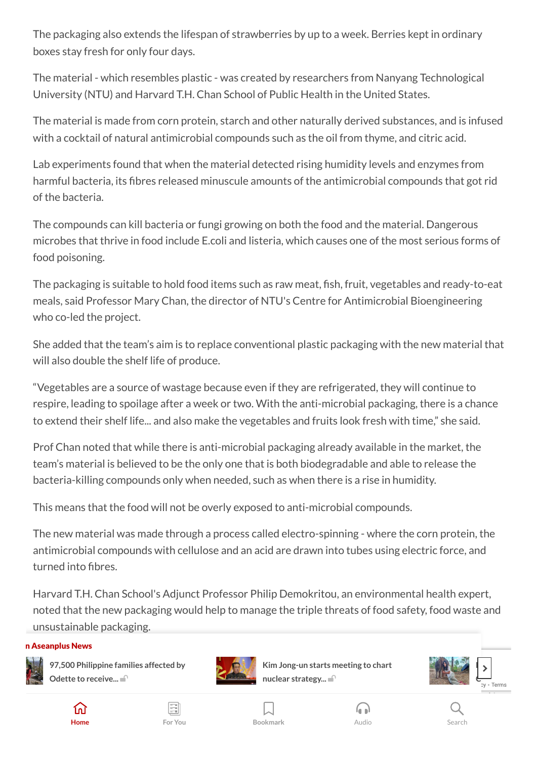The packaging also extends the lifespan of strawberries by up to a week. Berries kept in ordinary boxes stay fresh for only four days.

The material - which resembles plastic - was created by researchers from Nanyang Technological University (NTU) and Harvard T.H. Chan School of Public Health in the United States.

The material is made from corn protein, starch and other naturally derived substances, and is infused with a cocktail of natural antimicrobial compounds such as the oil from thyme, and citric acid.

Lab experiments found that when the material detected rising humidity levels and enzymes from harmful bacteria, its fibres released minuscule amounts of the antimicrobial compounds that got rid of the bacteria.

The compounds can kill bacteria or fungi growing on both the food and the material. Dangerous microbes that thrive in food include E.coli and listeria, which causes one of the most serious forms of food poisoning.

The packaging is suitable to hold food items such as raw meat, fish, fruit, vegetables and ready-to-eat meals, said Professor Mary Chan, the director of NTU's Centre for Antimicrobial Bioengineering who co-led the project.

She added that the team's aim is to replace conventional plastic packaging with the new material that will also double the shelf life of produce.

"Vegetables are a source of wastage because even if they are refrigerated, they will continue to respire, leading to spoilage after a week or two. With the anti-microbial packaging, there is a chance to extend their shelf life... and also make the vegetables and fruits look fresh with time," she said.

Prof Chan noted that while there is anti-microbial packaging already available in the market, the team's material is believed to be the only one that is both biodegradable and able to release the bacteria-killing compounds only when needed, such as when there is a rise in humidity.

This means that the food will not be overly exposed to anti-microbial compounds.

The new material was made through a process called electro-spinning - where the corn protein, the antimicrobial compounds with cellulose and an acid are drawn into tubes using electric force, and turned into fibres.

Harvard T.H. Chan School's Adjunct Professor Philip Demokritou, an environmental health expert, noted that the new packaging would help to manage the triple threats of food safety, food waste and unsustainable packaging.

#### n Aseanplus News



[Ma](https://www.thestar.com.my/aseanplus/aseanplus-news/2021/12/28/97500-philippine-families-affected-by-odette-to-receive-p5000-cash-for-shelter-aid)terials & [Interfaces.](https://www.thestar.com.my/aseanplus/aseanplus-news/2021/12/28/97500-philippine-families-affected-by-odette-to-receive-p5000-cash-for-shelter-aid) **97,500 Philippine families affected by Odette to receive...**



**Kim Jong-un starts meeting to chart nuclear [strategy...](https://www.thestar.com.my/aseanplus/aseanplus-news/2021/12/28/kim-jong-un-starts-meeting-to-chart-nuclear-strategy-toward-us)**